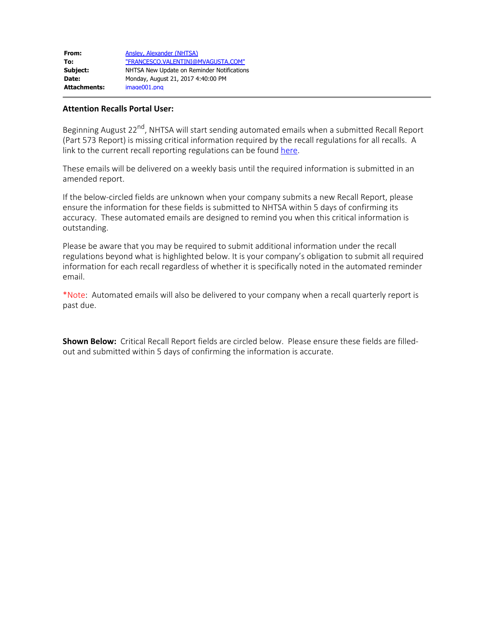## **Attention Recalls Portal User:**

Beginning August 22<sup>nd</sup>, NHTSA will start sending automated emails when a submitted Recall Report (Part 573 Report) is missing critical information required by the recall regulations for all recalls. A link to the current recall reporting regulations can be found [here](https://www.gpo.gov/fdsys/pkg/CFR-2013-title49-vol7/pdf/CFR-2013-title49-vol7-sec573-6.pdf).

These emails will be delivered on a weekly basis until the required information is submitted in an amended report.

If the below-circled fields are unknown when your company submits a new Recall Report, please ensure the information for these fields is submitted to NHTSA within 5 days of confirming its accuracy. These automated emails are designed to remind you when this critical information is outstanding.

Please be aware that you may be required to submit additional information under the recall regulations beyond what is highlighted below. It is your company's obligation to submit all required information for each recall regardless of whether it is specifically noted in the automated reminder email.

\*Note: Automated emails will also be delivered to your company when a recall quarterly report is past due.

**Shown Below:** Critical Recall Report fields are circled below. Please ensure these fields are filledout and submitted within 5 days of confirming the information is accurate.